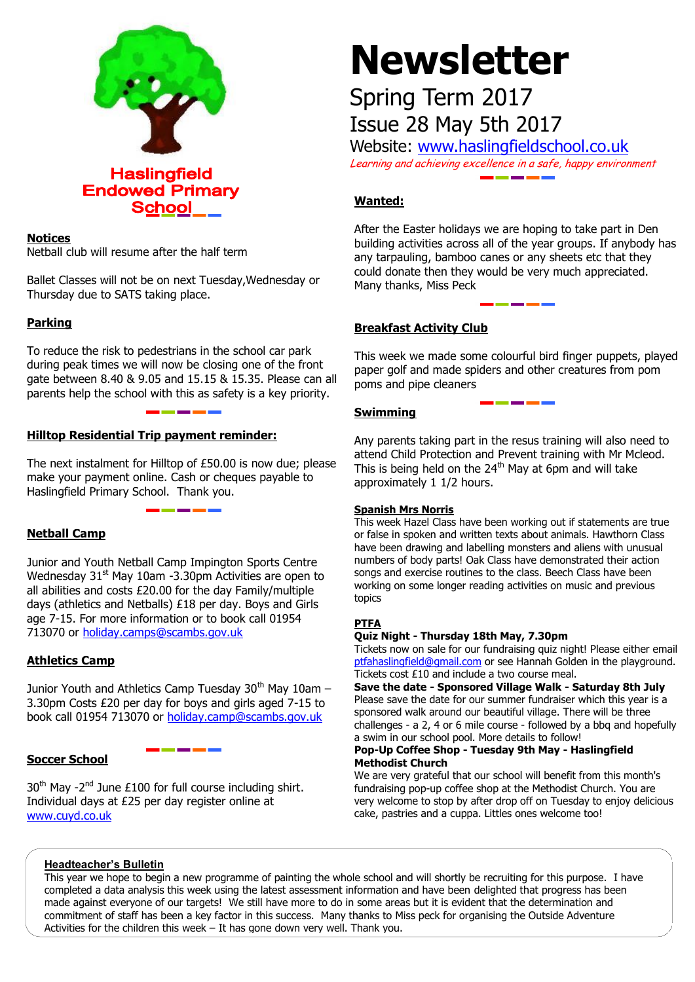

# **Notices**

Netball club will resume after the half term

Ballet Classes will not be on next Tuesday,Wednesday or Thursday due to SATS taking place.

# **Parking**

To reduce the risk to pedestrians in the school car park during peak times we will now be closing one of the front gate between 8.40 & 9.05 and 15.15 & 15.35. Please can all parents help the school with this as safety is a key priority.

# **Hilltop Residential Trip payment reminder:**

The next instalment for Hilltop of £50.00 is now due; please make your payment online. Cash or cheques payable to Haslingfield Primary School. Thank you.

# **Netball Camp**

Junior and Youth Netball Camp Impington Sports Centre Wednesday  $31<sup>st</sup>$  May 10am -3.30pm Activities are open to all abilities and costs £20.00 for the day Family/multiple days (athletics and Netballs) £18 per day. Boys and Girls age 7-15. For more information or to book call 01954 713070 or [holiday.camps@scambs.gov.uk](mailto:holiday.camps@scambs.gov.uk)

# **Athletics Camp**

Junior Youth and Athletics Camp Tuesday  $30<sup>th</sup>$  May 10am – 3.30pm Costs £20 per day for boys and girls aged 7-15 to book call 01954 713070 or [holiday.camp@scambs.gov.uk](mailto:holiday.camp@scambs.gov.uk)

# **Soccer School**

 $30<sup>th</sup>$  May -2<sup>nd</sup> June £100 for full course including shirt. Individual days at £25 per day register online at [www.cuyd.co.uk](http://www.cuyd.co.uk/)

# **Newsletter**

# Spring Term 2017 Issue 28 May 5th 2017

Website: [www.haslingfieldschool.co.uk](http://www.haslingfieldschool.co.uk/) Learning and achieving excellence in a safe, happy environment

# **Wanted:**

After the Easter holidays we are hoping to take part in Den building activities across all of the year groups. If anybody has any tarpauling, bamboo canes or any sheets etc that they could donate then they would be very much appreciated. Many thanks, Miss Peck

# **Breakfast Activity Club**

This week we made some colourful bird finger puppets, played paper golf and made spiders and other creatures from pom poms and pipe cleaners

# **Swimming**

Any parents taking part in the resus training will also need to attend Child Protection and Prevent training with Mr Mcleod. This is being held on the  $24<sup>th</sup>$  May at 6pm and will take approximately 1 1/2 hours.

#### **Spanish Mrs Norris**

This week Hazel Class have been working out if statements are true or false in spoken and written texts about animals. Hawthorn Class have been drawing and labelling monsters and aliens with unusual numbers of body parts! Oak Class have demonstrated their action songs and exercise routines to the class. Beech Class have been working on some longer reading activities on music and previous topics

#### **PTFA**

#### **Quiz Night - Thursday 18th May, 7.30pm**

 Tickets now on sale for our fundraising quiz night! Please either email [ptfahaslingfield@gmail.com](mailto:ptfahaslingfield@gmail.com) or see Hannah Golden in the playground. Tickets cost £10 and include a two course meal.

**Save the date - Sponsored Village Walk - Saturday 8th July** Please save the date for our summer fundraiser which this year is a sponsored walk around our beautiful village. There will be three challenges - a 2, 4 or 6 mile course - followed by a bbq and hopefully a swim in our school pool. More details to follow!

#### **Pop-Up Coffee Shop - Tuesday 9th May - Haslingfield Methodist Church**

We are very grateful that our school will benefit from this month's fundraising pop-up coffee shop at the Methodist Church. You are very welcome to stop by after drop off on Tuesday to enjoy delicious cake, pastries and a cuppa. Littles ones welcome too!

#### **Headteacher's Bulletin**

This year we hope to begin a new programme of painting the whole school and will shortly be recruiting for this purpose. I have completed a data analysis this week using the latest assessment information and have been delighted that progress has been made against everyone of our targets! We still have more to do in some areas but it is evident that the determination and commitment of staff has been a key factor in this success. Many thanks to Miss peck for organising the Outside Adventure Activities for the children this week – It has gone down very well. Thank you.